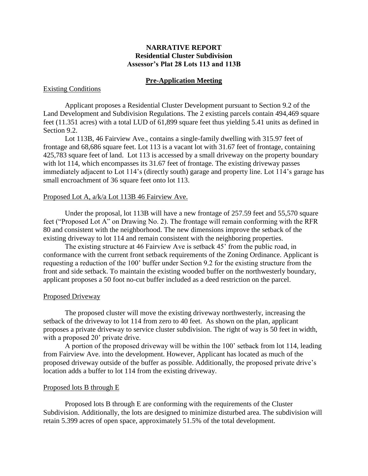# **NARRATIVE REPORT Residential Cluster Subdivision Assessor's Plat 28 Lots 113 and 113B**

## **Pre-Application Meeting**

## Existing Conditions

Applicant proposes a Residential Cluster Development pursuant to Section 9.2 of the Land Development and Subdivision Regulations. The 2 existing parcels contain 494,469 square feet (11.351 acres) with a total LUD of 61,899 square feet thus yielding 5.41 units as defined in Section 9.2.

Lot 113B, 46 Fairview Ave., contains a single-family dwelling with 315.97 feet of frontage and 68,686 square feet. Lot 113 is a vacant lot with 31.67 feet of frontage, containing 425,783 square feet of land. Lot 113 is accessed by a small driveway on the property boundary with lot 114, which encompasses its 31.67 feet of frontage. The existing driveway passes immediately adjacent to Lot 114's (directly south) garage and property line. Lot 114's garage has small encroachment of 36 square feet onto lot 113.

#### Proposed Lot A, a/k/a Lot 113B 46 Fairview Ave.

Under the proposal, lot 113B will have a new frontage of 257.59 feet and 55,570 square feet ("Proposed Lot A" on Drawing No. 2). The frontage will remain conforming with the RFR 80 and consistent with the neighborhood. The new dimensions improve the setback of the existing driveway to lot 114 and remain consistent with the neighboring properties.

The existing structure at 46 Fairview Ave is setback 45' from the public road, in conformance with the current front setback requirements of the Zoning Ordinance. Applicant is requesting a reduction of the 100' buffer under Section 9.2 for the existing structure from the front and side setback. To maintain the existing wooded buffer on the northwesterly boundary, applicant proposes a 50 foot no-cut buffer included as a deed restriction on the parcel.

## Proposed Driveway

The proposed cluster will move the existing driveway northwesterly, increasing the setback of the driveway to lot 114 from zero to 40 feet. As shown on the plan, applicant proposes a private driveway to service cluster subdivision. The right of way is 50 feet in width, with a proposed 20' private drive.

A portion of the proposed driveway will be within the 100' setback from lot 114, leading from Fairview Ave. into the development. However, Applicant has located as much of the proposed driveway outside of the buffer as possible. Additionally, the proposed private drive's location adds a buffer to lot 114 from the existing driveway.

## Proposed lots B through E

Proposed lots B through E are conforming with the requirements of the Cluster Subdivision. Additionally, the lots are designed to minimize disturbed area. The subdivision will retain 5.399 acres of open space, approximately 51.5% of the total development.